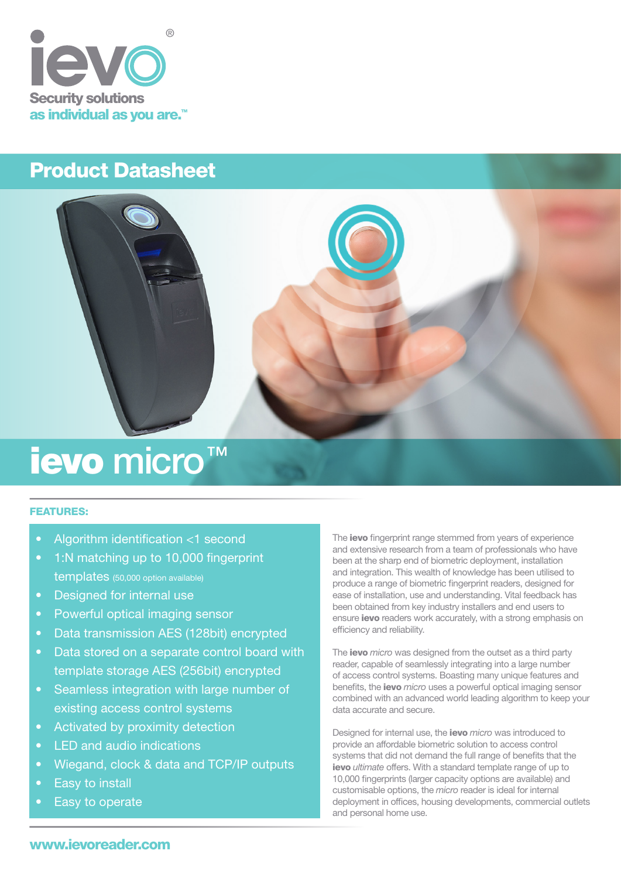

## Product Datasheet



# ievo micro™

## FEATURES:

- Algorithm identification <1 second
- 1:N matching up to 10,000 fingerprint templates (50,000 option available)
- Designed for internal use
- Powerful optical imaging sensor
- Data transmission AES (128bit) encrypted
- Data stored on a separate control board with template storage AES (256bit) encrypted
- Seamless integration with large number of existing access control systems
- Activated by proximity detection
- LED and audio indications
- Wiegand, clock & data and TCP/IP outputs
- Easy to install
- Easy to operate

The ievo fingerprint range stemmed from years of experience and extensive research from a team of professionals who have been at the sharp end of biometric deployment, installation and integration. This wealth of knowledge has been utilised to produce a range of biometric fingerprint readers, designed for ease of installation, use and understanding. Vital feedback has been obtained from key industry installers and end users to ensure ievo readers work accurately, with a strong emphasis on efficiency and reliability.

The ievo *micro* was designed from the outset as a third party reader, capable of seamlessly integrating into a large number of access control systems. Boasting many unique features and benefits, the ievo *micro* uses a powerful optical imaging sensor combined with an advanced world leading algorithm to keep your data accurate and secure.

Designed for internal use, the ievo *micro* was introduced to provide an affordable biometric solution to access control systems that did not demand the full range of benefits that the ievo *ultimate* offers. With a standard template range of up to 10,000 fingerprints (larger capacity options are available) and customisable options, the *micro* reader is ideal for internal deployment in offices, housing developments, commercial outlets and personal home use.

## www.ievoreader.com